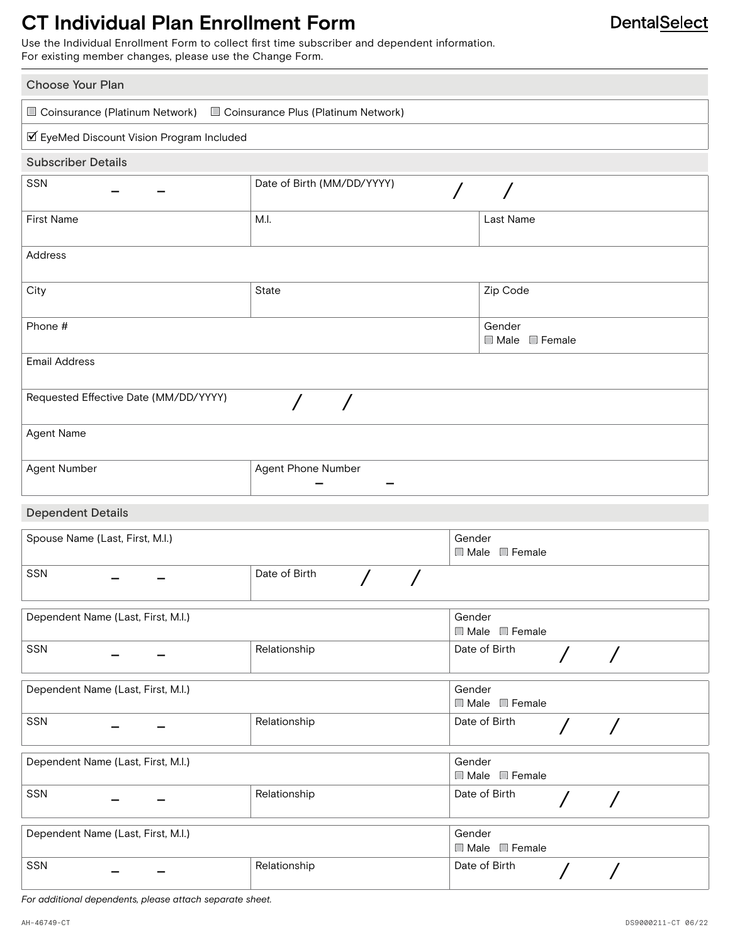## **CT Individual Plan Enrollment Form**

Use the Individual Enrollment Form to collect first time subscriber and dependent information. For existing member changes, please use the Change Form.

| <b>Choose Your Plan</b>                                            |                            |        |                                                         |  |  |  |
|--------------------------------------------------------------------|----------------------------|--------|---------------------------------------------------------|--|--|--|
| Coinsurance (Platinum Network) Coinsurance Plus (Platinum Network) |                            |        |                                                         |  |  |  |
| ☑ EyeMed Discount Vision Program Included                          |                            |        |                                                         |  |  |  |
| <b>Subscriber Details</b>                                          |                            |        |                                                         |  |  |  |
| SSN                                                                | Date of Birth (MM/DD/YYYY) |        |                                                         |  |  |  |
| <b>First Name</b>                                                  | M.I.                       |        | Last Name                                               |  |  |  |
| Address                                                            |                            |        |                                                         |  |  |  |
| City                                                               | State                      |        | Zip Code                                                |  |  |  |
| Phone #                                                            |                            |        | Gender<br>Male Female                                   |  |  |  |
| <b>Email Address</b>                                               |                            |        |                                                         |  |  |  |
| Requested Effective Date (MM/DD/YYYY)                              | $\overline{ }$             |        |                                                         |  |  |  |
| Agent Name                                                         |                            |        |                                                         |  |  |  |
| Agent Phone Number<br>Agent Number                                 |                            |        |                                                         |  |  |  |
| <b>Dependent Details</b>                                           |                            |        |                                                         |  |  |  |
| Spouse Name (Last, First, M.I.)                                    |                            | Gender | $\Box$ Male $\Box$ Female                               |  |  |  |
| <b>SSN</b>                                                         | Date of Birth              |        |                                                         |  |  |  |
| Dependent Name (Last, First, M.I.)                                 |                            | Gender | Male Female                                             |  |  |  |
| SSN                                                                | Relationship               |        | Date of Birth<br>$\sqrt{2}$<br>$\overline{\phantom{a}}$ |  |  |  |
| Dependent Name (Last, First, M.I.)                                 |                            | Gender | Male Female                                             |  |  |  |
| SSN                                                                | Relationship               |        | Date of Birth<br>$\sqrt{2}$<br>$\sqrt{2}$               |  |  |  |
| Dependent Name (Last, First, M.I.)                                 |                            | Gender | Male Female                                             |  |  |  |
| SSN                                                                | Relationship               |        | Date of Birth<br>$\overline{ }$<br>$\sqrt{2}$           |  |  |  |
| Dependent Name (Last, First, M.I.)                                 |                            | Gender | Male Female                                             |  |  |  |
| SSN                                                                | Relationship               |        | Date of Birth<br>$\sqrt{2}$<br>$\sqrt{2}$               |  |  |  |

*For additional dependents, please attach separate sheet.*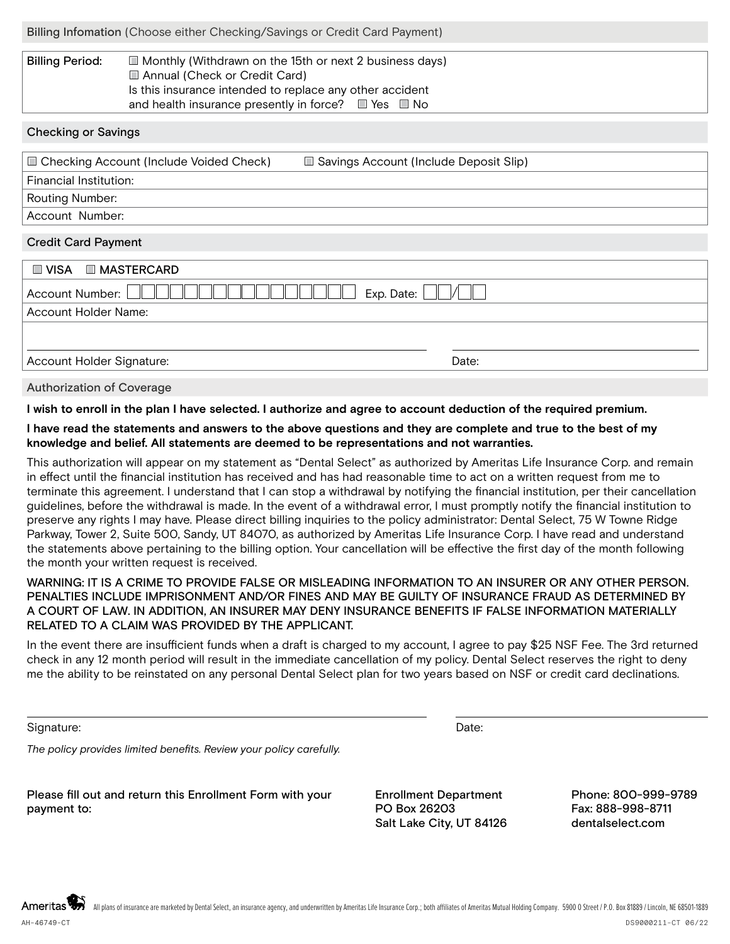| Billing Infomation (Choose either Checking/Savings or Credit Card Payment) |  |  |  |
|----------------------------------------------------------------------------|--|--|--|
|                                                                            |  |  |  |

| <b>Billing Period:</b> | $\Box$ Monthly (Withdrawn on the 15th or next 2 business days)      |  |  |
|------------------------|---------------------------------------------------------------------|--|--|
|                        | Annual (Check or Credit Card)                                       |  |  |
|                        | Is this insurance intended to replace any other accident            |  |  |
|                        | and health insurance presently in force? $\square$ Yes $\square$ No |  |  |

#### Checking or Savings

| □ Checking Account (Include Voided Check) | □ Savings Account (Include Deposit Slip) |
|-------------------------------------------|------------------------------------------|
| Financial Institution:                    |                                          |
| Routing Number:                           |                                          |
| Account Number:                           |                                          |
|                                           |                                          |

### Credit Card Payment

| $\Box$ VISA $\Box$ MASTERCARD      |
|------------------------------------|
| Exp. Date:<br>Account Number: L    |
| Account Holder Name:               |
|                                    |
|                                    |
| Account Holder Signature:<br>Date: |

Authorization of Coverage

**I wish to enroll in the plan I have selected. I authorize and agree to account deduction of the required premium.**

**I have read the statements and answers to the above questions and they are complete and true to the best of my knowledge and belief. All statements are deemed to be representations and not warranties.**

This authorization will appear on my statement as "Dental Select" as authorized by Ameritas Life Insurance Corp. and remain in effect until the financial institution has received and has had reasonable time to act on a written request from me to terminate this agreement. I understand that I can stop a withdrawal by notifying the financial institution, per their cancellation guidelines, before the withdrawal is made. In the event of a withdrawal error, I must promptly notify the financial institution to preserve any rights I may have. Please direct billing inquiries to the policy administrator: Dental Select, 75 W Towne Ridge Parkway, Tower 2, Suite 500, Sandy, UT 84070, as authorized by Ameritas Life Insurance Corp. I have read and understand the statements above pertaining to the billing option. Your cancellation will be effective the first day of the month following the month your written request is received.

### WARNING: IT IS A CRIME TO PROVIDE FALSE OR MISLEADING INFORMATION TO AN INSURER OR ANY OTHER PERSON. PENALTIES INCLUDE IMPRISONMENT AND/OR FINES AND MAY BE GUILTY OF INSURANCE FRAUD AS DETERMINED BY A COURT OF LAW. IN ADDITION, AN INSURER MAY DENY INSURANCE BENEFITS IF FALSE INFORMATION MATERIALLY RELATED TO A CLAIM WAS PROVIDED BY THE APPLICANT.

In the event there are insufficient funds when a draft is charged to my account, I agree to pay \$25 NSF Fee. The 3rd returned check in any 12 month period will result in the immediate cancellation of my policy. Dental Select reserves the right to deny me the ability to be reinstated on any personal Dental Select plan for two years based on NSF or credit card declinations.

Signature: Date: Date: Date: Date: Date: Date: Date: Date: Date: Date: Date: Date: Date: Date: Date: Date: Date: Date: Date: Date: Date: Date: Date: Date: Date: Date: Date: Date: Date: Date: Date: Date: Date: Date: Date: D

*The policy provides limited benefits. Review your policy carefully.*

Please fill out and return this Enrollment Form with your payment to:

Enrollment Department PO Box 26203 Salt Lake City, UT 84126

Phone: 800-999-9789 Fax: 888-998-8711 dentalselect.com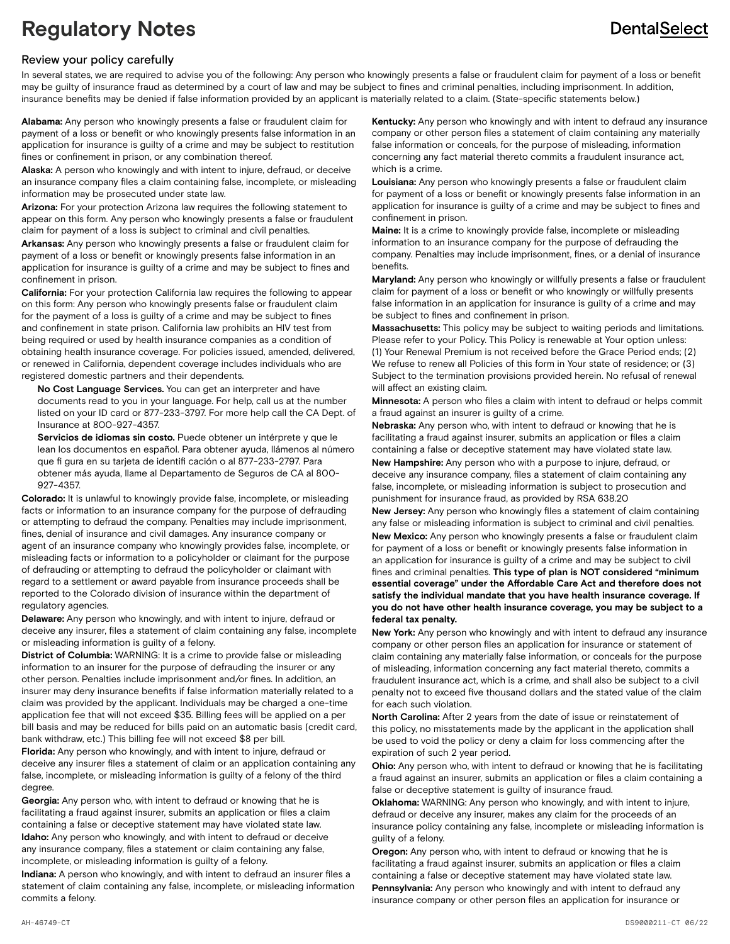### **DentalSelect**

## **Regulatory Notes**

#### Review your policy carefully

In several states, we are required to advise you of the following: Any person who knowingly presents a false or fraudulent claim for payment of a loss or benefit may be guilty of insurance fraud as determined by a court of law and may be subject to fines and criminal penalties, including imprisonment. In addition, insurance benefits may be denied if false information provided by an applicant is materially related to a claim. (State-specific statements below.)

**Alabama:** Any person who knowingly presents a false or fraudulent claim for payment of a loss or benefit or who knowingly presents false information in an application for insurance is guilty of a crime and may be subject to restitution fines or confinement in prison, or any combination thereof.

**Alaska:** A person who knowingly and with intent to injure, defraud, or deceive an insurance company files a claim containing false, incomplete, or misleading information may be prosecuted under state law.

**Arizona:** For your protection Arizona law requires the following statement to appear on this form. Any person who knowingly presents a false or fraudulent claim for payment of a loss is subject to criminal and civil penalties.

**Arkansas:** Any person who knowingly presents a false or fraudulent claim for payment of a loss or benefit or knowingly presents false information in an application for insurance is guilty of a crime and may be subject to fines and confinement in prison.

**California:** For your protection California law requires the following to appear on this form: Any person who knowingly presents false or fraudulent claim for the payment of a loss is guilty of a crime and may be subject to fines and confinement in state prison. California law prohibits an HIV test from being required or used by health insurance companies as a condition of obtaining health insurance coverage. For policies issued, amended, delivered, or renewed in California, dependent coverage includes individuals who are registered domestic partners and their dependents.

**No Cost Language Services.** You can get an interpreter and have documents read to you in your language. For help, call us at the number listed on your ID card or 877-233-3797. For more help call the CA Dept. of Insurance at 800-927-4357.

**Servicios de idiomas sin costo.** Puede obtener un intérprete y que le lean los documentos en español. Para obtener ayuda, llámenos al número que fi gura en su tarjeta de identifi cación o al 877-233-2797. Para obtener más ayuda, llame al Departamento de Seguros de CA al 800- 927-4357.

**Colorado:** It is unlawful to knowingly provide false, incomplete, or misleading facts or information to an insurance company for the purpose of defrauding or attempting to defraud the company. Penalties may include imprisonment, fines, denial of insurance and civil damages. Any insurance company or agent of an insurance company who knowingly provides false, incomplete, or misleading facts or information to a policyholder or claimant for the purpose of defrauding or attempting to defraud the policyholder or claimant with regard to a settlement or award payable from insurance proceeds shall be reported to the Colorado division of insurance within the department of regulatory agencies.

**Delaware:** Any person who knowingly, and with intent to injure, defraud or deceive any insurer, files a statement of claim containing any false, incomplete or misleading information is guilty of a felony.

**District of Columbia:** WARNING: It is a crime to provide false or misleading information to an insurer for the purpose of defrauding the insurer or any other person. Penalties include imprisonment and/or fines. In addition, an insurer may deny insurance benefits if false information materially related to a claim was provided by the applicant. Individuals may be charged a one-time application fee that will not exceed \$35. Billing fees will be applied on a per bill basis and may be reduced for bills paid on an automatic basis (credit card, bank withdraw, etc.) This billing fee will not exceed \$8 per bill.

**Florida:** Any person who knowingly, and with intent to injure, defraud or deceive any insurer files a statement of claim or an application containing any false, incomplete, or misleading information is guilty of a felony of the third degree.

**Georgia:** Any person who, with intent to defraud or knowing that he is facilitating a fraud against insurer, submits an application or files a claim containing a false or deceptive statement may have violated state law. **Idaho:** Any person who knowingly, and with intent to defraud or deceive any insurance company, files a statement or claim containing any false, incomplete, or misleading information is guilty of a felony.

**Indiana:** A person who knowingly, and with intent to defraud an insurer files a statement of claim containing any false, incomplete, or misleading information commits a felony.

**Kentucky:** Any person who knowingly and with intent to defraud any insurance company or other person files a statement of claim containing any materially false information or conceals, for the purpose of misleading, information concerning any fact material thereto commits a fraudulent insurance act, which is a crime.

**Louisiana:** Any person who knowingly presents a false or fraudulent claim for payment of a loss or benefit or knowingly presents false information in an application for insurance is guilty of a crime and may be subject to fines and confinement in prison.

**Maine:** It is a crime to knowingly provide false, incomplete or misleading information to an insurance company for the purpose of defrauding the company. Penalties may include imprisonment, fines, or a denial of insurance benefits.

**Maryland:** Any person who knowingly or willfully presents a false or fraudulent claim for payment of a loss or benefit or who knowingly or willfully presents false information in an application for insurance is guilty of a crime and may be subject to fines and confinement in prison.

**Massachusetts:** This policy may be subject to waiting periods and limitations. Please refer to your Policy. This Policy is renewable at Your option unless: (1) Your Renewal Premium is not received before the Grace Period ends; (2) We refuse to renew all Policies of this form in Your state of residence; or (3) Subject to the termination provisions provided herein. No refusal of renewal will affect an existing claim.

**Minnesota:** A person who files a claim with intent to defraud or helps commit a fraud against an insurer is guilty of a crime.

**Nebraska:** Any person who, with intent to defraud or knowing that he is facilitating a fraud against insurer, submits an application or files a claim containing a false or deceptive statement may have violated state law. **New Hampshire:** Any person who with a purpose to injure, defraud, or deceive any insurance company, files a statement of claim containing any false, incomplete, or misleading information is subject to prosecution and punishment for insurance fraud, as provided by RSA 638.20

**New Jersey:** Any person who knowingly files a statement of claim containing any false or misleading information is subject to criminal and civil penalties. **New Mexico:** Any person who knowingly presents a false or fraudulent claim for payment of a loss or benefit or knowingly presents false information in an application for insurance is guilty of a crime and may be subject to civil fines and criminal penalties. **This type of plan is NOT considered "minimum essential coverage" under the Affordable Care Act and therefore does not satisfy the individual mandate that you have health insurance coverage. If you do not have other health insurance coverage, you may be subject to a federal tax penalty.**

**New York:** Any person who knowingly and with intent to defraud any insurance company or other person files an application for insurance or statement of claim containing any materially false information, or conceals for the purpose of misleading, information concerning any fact material thereto, commits a fraudulent insurance act, which is a crime, and shall also be subject to a civil penalty not to exceed five thousand dollars and the stated value of the claim for each such violation.

**North Carolina:** After 2 years from the date of issue or reinstatement of this policy, no misstatements made by the applicant in the application shall be used to void the policy or deny a claim for loss commencing after the expiration of such 2 year period.

**Ohio:** Any person who, with intent to defraud or knowing that he is facilitating a fraud against an insurer, submits an application or files a claim containing a false or deceptive statement is guilty of insurance fraud.

**Oklahoma:** WARNING: Any person who knowingly, and with intent to injure, defraud or deceive any insurer, makes any claim for the proceeds of an insurance policy containing any false, incomplete or misleading information is guilty of a felony.

**Oregon:** Any person who, with intent to defraud or knowing that he is facilitating a fraud against insurer, submits an application or files a claim containing a false or deceptive statement may have violated state law. **Pennsylvania:** Any person who knowingly and with intent to defraud any insurance company or other person files an application for insurance or